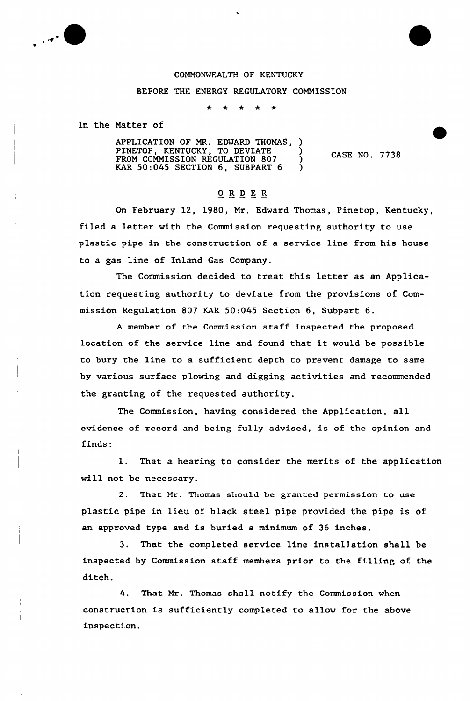

## COMMONWEALTH OF KENTUCKY

## BEFORE THE ENERGY REGULATORY COMMISSION

 $\star$  $\star$  $\star$  $\star$ 

In the Natter of

APPLICATION OF MR. EDWARD THOMAS, PINETOP, KENTUCKY, TO DEVIATE )<br>TROV COLAISSEON PROVIATION 000 FROM COMMISSION REGULATION 807 KAR  $50:045$  SECTION  $6$ , SUBPART  $6$  ) CASE NO. 7738

## ORDER

On February 12, 1980, Nr. Edward Thomas, Pinetop, Kentucky, filed a letter with the Commission requesting authority to use plastic pipe in the construction of a service line from his house to a gas line of Inland Gas Company.

The Commission decided to treat this letter as an Application requesting authority to deviate from the provisions of Commission Regulation 807 KAR 50:045 Section 6, Subpart 6.

<sup>A</sup> member of the Commission staff inspected the proposed location of the service line and found that it would be oossible to bury the line to a sufficient depth to prevent damage to same by various surface plowing and digging activities and recommended the granting of the requested authority.

The Commission, having considered the Application, all evidence of record and being fully advised, is of the opinion and finds:

1. That a hearing to consider the merits of the application will not be necessary.

2. That Mr. Thomas should be granted permission to use plastic pipe in lieu of black steel pipe provided the pipe is of an approved type and is buried a minimum of 36 inches.

3. That the completed service line installation shall be inspected by Commission staff members prior to the filling of the ditch.

4. That Mr. Thomas shall notify the Commission when construction is sufficiently completed to allow for the above inspection.